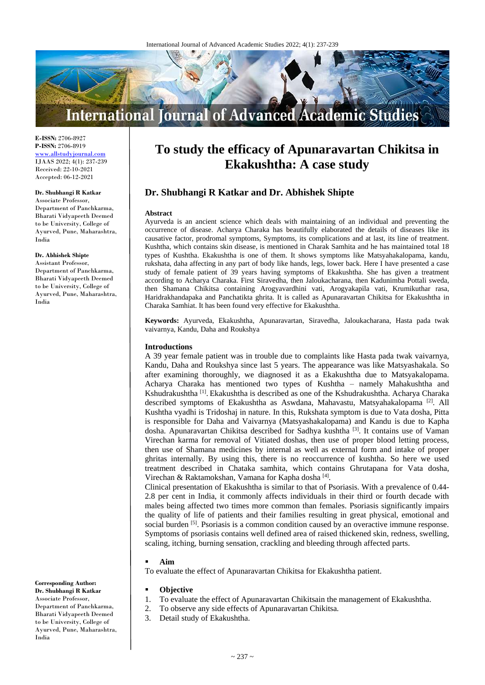

**E-ISSN:** 2706-8927 **P-ISSN:** 2706-8919 <www.allstudyjournal.com> IJAAS 2022; 4(1): 237-239 Received: 22-10-2021 Accepted: 06-12-2021

#### **Dr. Shubhangi R Katkar**

Associate Professor, Department of Panchkarma, Bharati Vidyapeeth Deemed to be University, College of Ayurved, Pune, Maharashtra, India

**Dr. Abhishek Shipte**

Assistant Professor, Department of Panchkarma, Bharati Vidyapeeth Deemed to be University, College of Ayurved, Pune, Maharashtra, India

**Corresponding Author: Dr. Shubhangi R Katkar**

Associate Professor, Department of Panchkarma, Bharati Vidyapeeth Deemed to be University, College of Ayurved, Pune, Maharashtra, India

# **To study the efficacy of Apunaravartan Chikitsa in Ekakushtha: A case study**

# **Dr. Shubhangi R Katkar and Dr. Abhishek Shipte**

#### **Abstract**

Ayurveda is an ancient science which deals with maintaining of an individual and preventing the occurrence of disease. Acharya Charaka has beautifully elaborated the details of diseases like its causative factor, prodromal symptoms, Symptoms, its complications and at last, its line of treatment. Kushtha, which contains skin disease, is mentioned in Charak Samhita and he has maintained total 18 types of Kushtha. Ekakushtha is one of them. It shows symptoms like Matsyahakalopama, kandu, rukshata, daha affecting in any part of body like hands, legs, lower back. Here I have presented a case study of female patient of 39 years having symptoms of Ekakushtha. She has given a treatment according to Acharya Charaka. First Siravedha, then Jaloukacharana, then Kadunimba Pottali sweda, then Shamana Chikitsa containing Arogyavardhini vati, Arogyakapila vati, Krumikuthar rasa, Haridrakhandapaka and Panchatikta ghrita. It is called as Apunaravartan Chikitsa for Ekakushtha in Charaka Samhiat. It has been found very effective for Ekakushtha.

**Keywords:** Ayurveda, Ekakushtha, Apunaravartan, Siravedha, Jaloukacharana, Hasta pada twak vaivarnya, Kandu, Daha and Roukshya

### **Introductions**

A 39 year female patient was in trouble due to complaints like Hasta pada twak vaivarnya, Kandu, Daha and Roukshya since last 5 years. The appearance was like Matsyashakala. So after examining thoroughly, we diagnosed it as a Ekakushtha due to Matsyakalopama. Acharya Charaka has mentioned two types of Kushtha – namely Mahakushtha and Kshudrakushtha <a>[1]</a>. Ekakushtha is described as one of the Kshudrakushtha. Acharya Charaka described symptoms of Ekakushtha as Aswdana, Mahavastu, Matsyahakalopama<sup>[2]</sup>. All Kushtha vyadhi is Tridoshaj in nature. In this, Rukshata symptom is due to Vata dosha, Pitta is responsible for Daha and Vaivarnya (Matsyashakalopama) and Kandu is due to Kapha dosha. Apunaravartan Chikitsa described for Sadhya kushtha<sup>[3]</sup>. It contains use of Vaman Virechan karma for removal of Vitiated doshas, then use of proper blood letting process, then use of Shamana medicines by internal as well as external form and intake of proper ghritas internally. By using this, there is no reoccurrence of kushtha. So here we used treatment described in Chataka samhita, which contains Ghrutapana for Vata dosha, Virechan & Raktamokshan, Vamana for Kapha dosha<sup>[4]</sup>.

Clinical presentation of Ekakushtha is similar to that of Psoriasis. With a prevalence of 0.44- 2.8 per cent in India, it commonly affects individuals in their third or fourth decade with males being affected two times more common than females. Psoriasis significantly impairs the quality of life of patients and their families resulting in great physical, emotional and social burden <sup>[5]</sup>. Psoriasis is a common condition caused by an overactive immune response. Symptoms of psoriasis contains well defined area of raised thickened skin, redness, swelling, scaling, itching, burning sensation, crackling and bleeding through affected parts.

#### **Aim**

To evaluate the effect of Apunaravartan Chikitsa for Ekakushtha patient.

- **Objective**
- 1. To evaluate the effect of Apunaravartan Chikitsain the management of Ekakushtha.
- 2. To observe any side effects of Apunaravartan Chikitsa*.*
- 3. Detail study of Ekakushtha.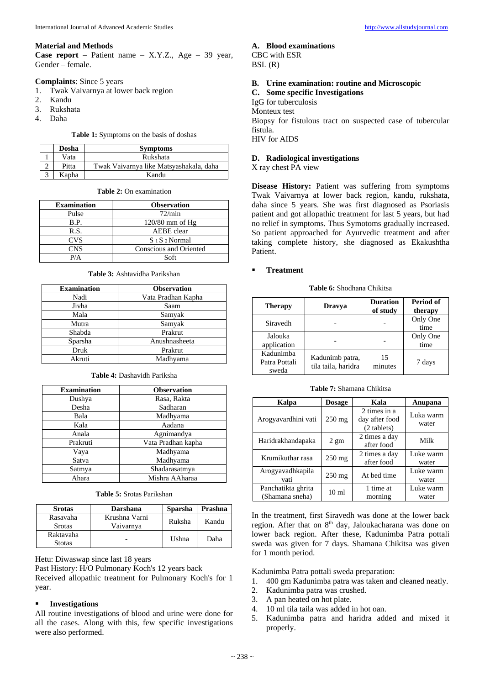# **Material and Methods**

**Case report –** Patient name – X.Y.Z., Age – 39 year, Gender – female.

## **Complaints**: Since 5 years

- 1. Twak Vaivarnya at lower back region
- 2. Kandu
- 3. Rukshata
- 4. Daha

### **Table 1:** Symptoms on the basis of doshas

| Dosha | <b>Symptoms</b>                         |  |  |
|-------|-----------------------------------------|--|--|
| Vata  | Rukshata                                |  |  |
| Pitta | Twak Vaivarnya like Matsyashakala, daha |  |  |
| Kapha | Kandu                                   |  |  |

## **Table 2:** On examination

| <b>Examination</b> | <b>Observation</b>     |  |  |
|--------------------|------------------------|--|--|
| Pulse              | 72/min                 |  |  |
| B.P.               | $120/80$ mm of Hg      |  |  |
| R.S.               | AEBE clear             |  |  |
| <b>CVS</b>         | $S_1 S_2$ Normal       |  |  |
| <b>CNS</b>         | Conscious and Oriented |  |  |
| P/A                | $S$ oft                |  |  |

## **Table 3:** Ashtavidha Parikshan

| <b>Examination</b> | <b>Observation</b> |
|--------------------|--------------------|
| Nadi               | Vata Pradhan Kapha |
| Jivha              | Saam               |
| Mala               | Samyak             |
| Mutra              | Samyak             |
| Shabda             | Prakrut            |
| Sparsha            | Anushnasheeta      |
| Druk               | Prakrut            |
| Akruti             | Madhyama           |

## **Table 4:** Dashavidh Pariksha

| <b>Examination</b> | <b>Observation</b> |
|--------------------|--------------------|
| Dushya             | Rasa, Rakta        |
| Desha              | Sadharan           |
| Bala               | Madhyama           |
| Kala               | Aadana             |
| Anala              | Agnimandya         |
| Prakruti           | Vata Pradhan kapha |
| Vaya               | Madhyama           |
| Satva              | Madhyama           |
| Satmya             | Shadarasatmya      |
| Ahara              | Mishra AAharaa     |

# **Table 5:** Srotas Parikshan

| <b>Srotas</b>              | <b>Darshana</b>            | <b>Sparsha</b> | Prashna |
|----------------------------|----------------------------|----------------|---------|
| Rasavaha<br><b>Srotas</b>  | Krushna Varni<br>Vaivarnva | Ruksha         | Kandu   |
| Raktavaha<br><b>Stotas</b> |                            | Ushna          | Daha    |

Hetu: Diwaswap since last 18 years

Past History: H/O Pulmonary Koch's 12 years back

Received allopathic treatment for Pulmonary Koch's for 1 year.

# **Investigations**

All routine investigations of blood and urine were done for all the cases. Along with this, few specific investigations were also performed.

# **A. Blood examinations**

CBC with ESR  $BSL(R)$ 

# **B. Urine examination: routine and Microscopic**

**C. Some specific Investigations** 

IgG for tuberculosis Monteux test

Biopsy for fistulous tract on suspected case of tubercular fistula. HIV for AIDS

# **D. Radiological investigations**

X ray chest PA view

**Disease History:** Patient was suffering from symptoms Twak Vaivarnya at lower back region, kandu, rukshata, daha since 5 years. She was first diagnosed as Psoriasis patient and got allopathic treatment for last 5 years, but had no relief in symptoms. Thus Symotoms gradually increased. So patient approached for Ayurvedic treatment and after taking complete history, she diagnosed as Ekakushtha Patient.

# **Treatment**

**Table 6:** Shodhana Chikitsa

| <b>Therapy</b>                      | <b>Dravya</b>                          | <b>Duration</b><br>of study | Period of<br>therapy |
|-------------------------------------|----------------------------------------|-----------------------------|----------------------|
| Siravedh                            |                                        |                             | Only One<br>time     |
| Jalouka<br>application              |                                        |                             | Only One<br>time     |
| Kadunimba<br>Patra Pottali<br>sweda | Kadunimb patra,<br>tila taila, haridra | 15<br>minutes               | 7 days               |

# **Table 7:** Shamana Chikitsa

| Kalpa                                 | <b>Dosage</b>    | Kala                                          | Anupana            |
|---------------------------------------|------------------|-----------------------------------------------|--------------------|
| Arogyavardhini vati                   | $250$ mg         | 2 times in a<br>day after food<br>(2 tablets) | Luka warm<br>water |
| Haridrakhandapaka                     | $2 \text{ gm}$   | 2 times a day<br>after food                   | Milk               |
| Krumikuthar rasa                      | 250 mg           | 2 times a day<br>after food                   | Luke warm<br>water |
| Arogyavadhkapila<br>vati              | $250$ mg         | At bed time                                   | Luke warm<br>water |
| Panchatikta ghrita<br>(Shamana sneha) | 10 <sub>ml</sub> | 1 time at<br>morning                          | Luke warm<br>water |

In the treatment, first Siravedh was done at the lower back region. After that on 8<sup>th</sup> day, Jaloukacharana was done on lower back region. After these, Kadunimba Patra pottali sweda was given for 7 days. Shamana Chikitsa was given for 1 month period.

Kadunimba Patra pottali sweda preparation:

- 1. 400 gm Kadunimba patra was taken and cleaned neatly.
- 2. Kadunimba patra was crushed.
- 3. A pan heated on hot plate.
- 4. 10 ml tila taila was added in hot oan.
- 5. Kadunimba patra and haridra added and mixed it properly.